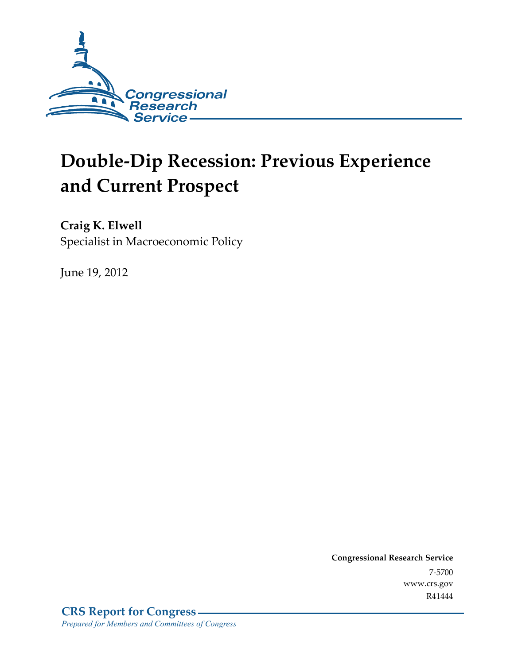

# **Double-Dip Recession: Previous Experience and Current Prospect**

**Craig K. Elwell**  Specialist in Macroeconomic Policy

June 19, 2012

**Congressional Research Service**  7-5700 www.crs.gov R41444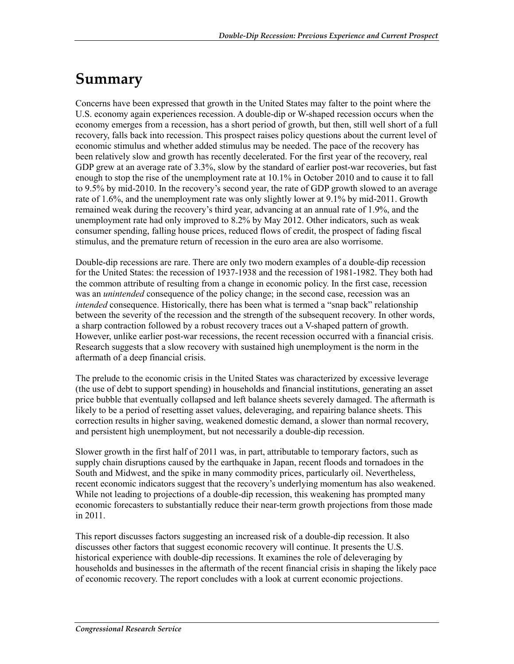## **Summary**

Concerns have been expressed that growth in the United States may falter to the point where the U.S. economy again experiences recession. A double-dip or W-shaped recession occurs when the economy emerges from a recession, has a short period of growth, but then, still well short of a full recovery, falls back into recession. This prospect raises policy questions about the current level of economic stimulus and whether added stimulus may be needed. The pace of the recovery has been relatively slow and growth has recently decelerated. For the first year of the recovery, real GDP grew at an average rate of 3.3%, slow by the standard of earlier post-war recoveries, but fast enough to stop the rise of the unemployment rate at 10.1% in October 2010 and to cause it to fall to 9.5% by mid-2010. In the recovery's second year, the rate of GDP growth slowed to an average rate of 1.6%, and the unemployment rate was only slightly lower at 9.1% by mid-2011. Growth remained weak during the recovery's third year, advancing at an annual rate of 1.9%, and the unemployment rate had only improved to 8.2% by May 2012. Other indicators, such as weak consumer spending, falling house prices, reduced flows of credit, the prospect of fading fiscal stimulus, and the premature return of recession in the euro area are also worrisome.

Double-dip recessions are rare. There are only two modern examples of a double-dip recession for the United States: the recession of 1937-1938 and the recession of 1981-1982. They both had the common attribute of resulting from a change in economic policy. In the first case, recession was an *unintended* consequence of the policy change; in the second case, recession was an *intended* consequence. Historically, there has been what is termed a "snap back" relationship between the severity of the recession and the strength of the subsequent recovery. In other words, a sharp contraction followed by a robust recovery traces out a V-shaped pattern of growth. However, unlike earlier post-war recessions, the recent recession occurred with a financial crisis. Research suggests that a slow recovery with sustained high unemployment is the norm in the aftermath of a deep financial crisis.

The prelude to the economic crisis in the United States was characterized by excessive leverage (the use of debt to support spending) in households and financial institutions, generating an asset price bubble that eventually collapsed and left balance sheets severely damaged. The aftermath is likely to be a period of resetting asset values, deleveraging, and repairing balance sheets. This correction results in higher saving, weakened domestic demand, a slower than normal recovery, and persistent high unemployment, but not necessarily a double-dip recession.

Slower growth in the first half of 2011 was, in part, attributable to temporary factors, such as supply chain disruptions caused by the earthquake in Japan, recent floods and tornadoes in the South and Midwest, and the spike in many commodity prices, particularly oil. Nevertheless, recent economic indicators suggest that the recovery's underlying momentum has also weakened. While not leading to projections of a double-dip recession, this weakening has prompted many economic forecasters to substantially reduce their near-term growth projections from those made in 2011.

This report discusses factors suggesting an increased risk of a double-dip recession. It also discusses other factors that suggest economic recovery will continue. It presents the U.S. historical experience with double-dip recessions. It examines the role of deleveraging by households and businesses in the aftermath of the recent financial crisis in shaping the likely pace of economic recovery. The report concludes with a look at current economic projections.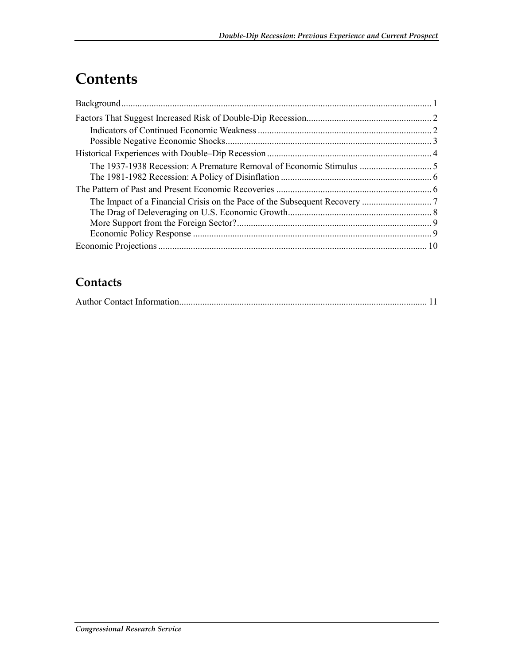# **Contents**

#### **Contacts**

|--|--|--|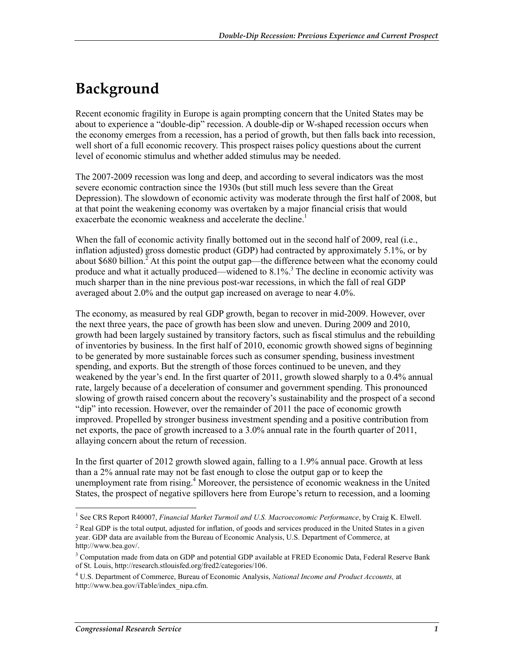### **Background**

Recent economic fragility in Europe is again prompting concern that the United States may be about to experience a "double-dip" recession. A double-dip or W-shaped recession occurs when the economy emerges from a recession, has a period of growth, but then falls back into recession, well short of a full economic recovery. This prospect raises policy questions about the current level of economic stimulus and whether added stimulus may be needed.

The 2007-2009 recession was long and deep, and according to several indicators was the most severe economic contraction since the 1930s (but still much less severe than the Great Depression). The slowdown of economic activity was moderate through the first half of 2008, but at that point the weakening economy was overtaken by a major financial crisis that would exacerbate the economic weakness and accelerate the decline.<sup>1</sup>

When the fall of economic activity finally bottomed out in the second half of 2009, real (i.e., inflation adjusted) gross domestic product (GDP) had contracted by approximately 5.1%, or by about \$680 billion.<sup>2</sup> At this point the output gap—the difference between what the economy could produce and what it actually produced—widened to 8.1%.<sup>3</sup> The decline in economic activity was much sharper than in the nine previous post-war recessions, in which the fall of real GDP averaged about 2.0% and the output gap increased on average to near 4.0%.

The economy, as measured by real GDP growth, began to recover in mid-2009. However, over the next three years, the pace of growth has been slow and uneven. During 2009 and 2010, growth had been largely sustained by transitory factors, such as fiscal stimulus and the rebuilding of inventories by business. In the first half of 2010, economic growth showed signs of beginning to be generated by more sustainable forces such as consumer spending, business investment spending, and exports. But the strength of those forces continued to be uneven, and they weakened by the year's end. In the first quarter of 2011, growth slowed sharply to a 0.4% annual rate, largely because of a deceleration of consumer and government spending. This pronounced slowing of growth raised concern about the recovery's sustainability and the prospect of a second "dip" into recession. However, over the remainder of 2011 the pace of economic growth improved. Propelled by stronger business investment spending and a positive contribution from net exports, the pace of growth increased to a 3.0% annual rate in the fourth quarter of 2011, allaying concern about the return of recession.

In the first quarter of 2012 growth slowed again, falling to a 1.9% annual pace. Growth at less than a 2% annual rate may not be fast enough to close the output gap or to keep the unemployment rate from rising.<sup>4</sup> Moreover, the persistence of economic weakness in the United States, the prospect of negative spillovers here from Europe's return to recession, and a looming

 1 See CRS Report R40007, *Financial Market Turmoil and U.S. Macroeconomic Performance*, by Craig K. Elwell.

<sup>&</sup>lt;sup>2</sup> Real GDP is the total output, adjusted for inflation, of goods and services produced in the United States in a given year. GDP data are available from the Bureau of Economic Analysis, U.S. Department of Commerce, at http://www.bea.gov/.

<sup>&</sup>lt;sup>3</sup> Computation made from data on GDP and potential GDP available at FRED Economic Data, Federal Reserve Bank of St. Louis, http://research.stlouisfed.org/fred2/categories/106.

<sup>4</sup> U.S. Department of Commerce, Bureau of Economic Analysis, *National Income and Product Accounts,* at http://www.bea.gov/iTable/index\_nipa.cfm.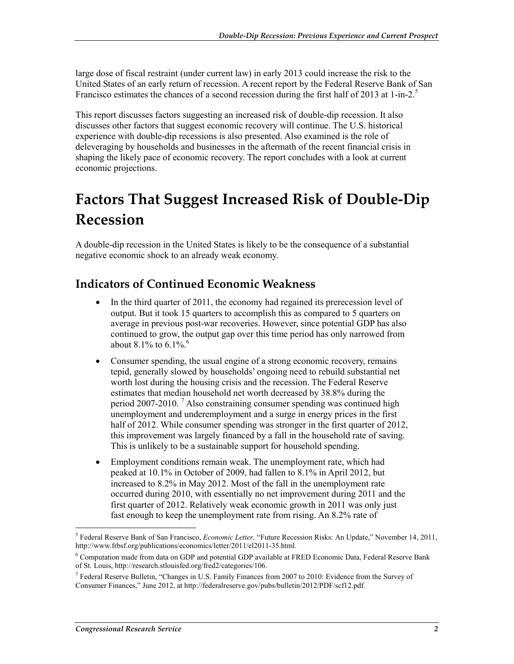large dose of fiscal restraint (under current law) in early 2013 could increase the risk to the United States of an early return of recession. A recent report by the Federal Reserve Bank of San Francisco estimates the chances of a second recession during the first half of 2013 at 1-in-2.<sup>5</sup>

This report discusses factors suggesting an increased risk of double-dip recession. It also discusses other factors that suggest economic recovery will continue. The U.S. historical experience with double-dip recessions is also presented. Also examined is the role of deleveraging by households and businesses in the aftermath of the recent financial crisis in shaping the likely pace of economic recovery. The report concludes with a look at current economic projections.

# **Factors That Suggest Increased Risk of Double-Dip Recession**

A double-dip recession in the United States is likely to be the consequence of a substantial negative economic shock to an already weak economy.

#### **Indicators of Continued Economic Weakness**

- In the third quarter of 2011, the economy had regained its prerecession level of output. But it took 15 quarters to accomplish this as compared to 5 quarters on average in previous post-war recoveries. However, since potential GDP has also continued to grow, the output gap over this time period has only narrowed from about 8.1% to 6.1%.<sup>6</sup>
- Consumer spending, the usual engine of a strong economic recovery, remains tepid, generally slowed by households' ongoing need to rebuild substantial net worth lost during the housing crisis and the recession. The Federal Reserve estimates that median household net worth decreased by 38.8% during the period 2007-2010.<sup>7</sup> Also constraining consumer spending was continued high unemployment and underemployment and a surge in energy prices in the first half of 2012. While consumer spending was stronger in the first quarter of 2012, this improvement was largely financed by a fall in the household rate of saving. This is unlikely to be a sustainable support for household spending.
- Employment conditions remain weak. The unemployment rate, which had peaked at 10.1% in October of 2009, had fallen to 8.1% in April 2012, but increased to 8.2% in May 2012. Most of the fall in the unemployment rate occurred during 2010, with essentially no net improvement during 2011 and the first quarter of 2012. Relatively weak economic growth in 2011 was only just fast enough to keep the unemployment rate from rising. An 8.2% rate of

<sup>5</sup> Federal Reserve Bank of San Francisco, *Economic Letter,* "Future Recession Risks: An Update," November 14, 2011, http://www.frbsf.org/publications/economics/letter/2011/el2011-35.html.

<sup>&</sup>lt;sup>6</sup> Computation made from data on GDP and potential GDP available at FRED Economic Data, Federal Reserve Bank of St. Louis, http://research.stlouisfed.org/fred2/categories/106.

<sup>&</sup>lt;sup>7</sup> Federal Reserve Bulletin, "Changes in U.S. Family Finances from 2007 to 2010: Evidence from the Survey of Consumer Finances," June 2012, at http://federalreserve.gov/pubs/bulletin/2012/PDF/scf12.pdf.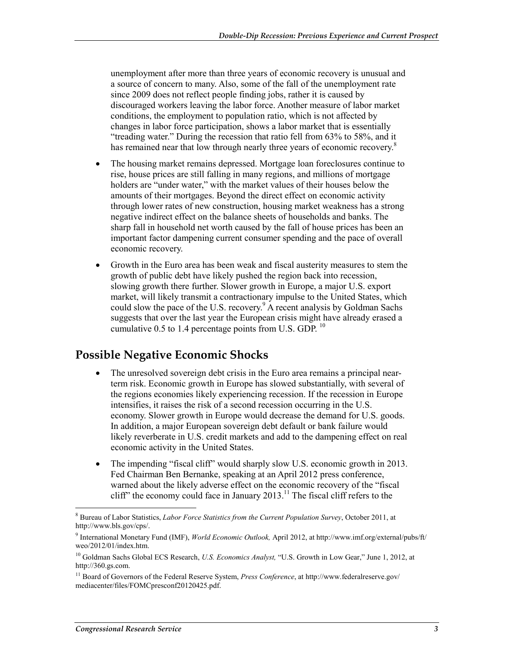unemployment after more than three years of economic recovery is unusual and a source of concern to many. Also, some of the fall of the unemployment rate since 2009 does not reflect people finding jobs, rather it is caused by discouraged workers leaving the labor force. Another measure of labor market conditions, the employment to population ratio, which is not affected by changes in labor force participation, shows a labor market that is essentially "treading water." During the recession that ratio fell from 63% to 58%, and it has remained near that low through nearly three years of economic recovery.<sup>8</sup>

- The housing market remains depressed. Mortgage loan foreclosures continue to rise, house prices are still falling in many regions, and millions of mortgage holders are "under water," with the market values of their houses below the amounts of their mortgages. Beyond the direct effect on economic activity through lower rates of new construction, housing market weakness has a strong negative indirect effect on the balance sheets of households and banks. The sharp fall in household net worth caused by the fall of house prices has been an important factor dampening current consumer spending and the pace of overall economic recovery.
- Growth in the Euro area has been weak and fiscal austerity measures to stem the growth of public debt have likely pushed the region back into recession, slowing growth there further. Slower growth in Europe, a major U.S. export market, will likely transmit a contractionary impulse to the United States, which could slow the pace of the U.S. recovery.<sup>9</sup> A recent analysis by Goldman Sachs suggests that over the last year the European crisis might have already erased a cumulative  $0.5$  to 1.4 percentage points from U.S. GDP.  $^{10}$

#### **Possible Negative Economic Shocks**

- The unresolved sovereign debt crisis in the Euro area remains a principal nearterm risk. Economic growth in Europe has slowed substantially, with several of the regions economies likely experiencing recession. If the recession in Europe intensifies, it raises the risk of a second recession occurring in the U.S. economy. Slower growth in Europe would decrease the demand for U.S. goods. In addition, a major European sovereign debt default or bank failure would likely reverberate in U.S. credit markets and add to the dampening effect on real economic activity in the United States.
- The impending "fiscal cliff" would sharply slow U.S. economic growth in 2013. Fed Chairman Ben Bernanke, speaking at an April 2012 press conference, warned about the likely adverse effect on the economic recovery of the "fiscal cliff" the economy could face in January 2013.<sup>11</sup> The fiscal cliff refers to the

 8 Bureau of Labor Statistics, *Labor Force Statistics from the Current Population Survey*, October 2011, at http://www.bls.gov/cps/.

<sup>9</sup> International Monetary Fund (IMF), *World Economic Outlook,* April 2012, at http://www.imf.org/external/pubs/ft/ weo/2012/01/index.htm.

<sup>10</sup> Goldman Sachs Global ECS Research, *U.S. Economics Analyst,* "U.S. Growth in Low Gear," June 1, 2012, at http://360.gs.com.

<sup>&</sup>lt;sup>11</sup> Board of Governors of the Federal Reserve System, Press Conference, at http://www.federalreserve.gov/ mediacenter/files/FOMCpresconf20120425.pdf.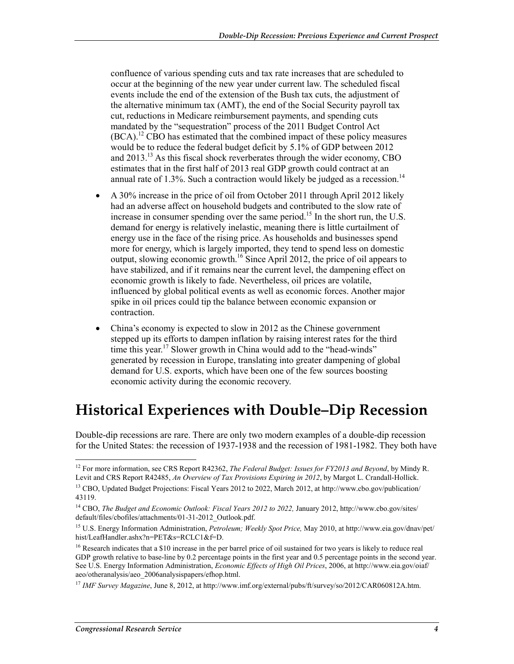confluence of various spending cuts and tax rate increases that are scheduled to occur at the beginning of the new year under current law. The scheduled fiscal events include the end of the extension of the Bush tax cuts, the adjustment of the alternative minimum tax (AMT), the end of the Social Security payroll tax cut, reductions in Medicare reimbursement payments, and spending cuts mandated by the "sequestration" process of the 2011 Budget Control Act  $(BCA)<sup>12</sup>$  CBO has estimated that the combined impact of these policy measures would be to reduce the federal budget deficit by 5.1% of GDP between 2012 and 2013.13 As this fiscal shock reverberates through the wider economy, CBO estimates that in the first half of 2013 real GDP growth could contract at an annual rate of  $1.3\%$ . Such a contraction would likely be judged as a recession.<sup>14</sup>

- A 30% increase in the price of oil from October 2011 through April 2012 likely had an adverse affect on household budgets and contributed to the slow rate of increase in consumer spending over the same period.<sup>15</sup> In the short run, the U.S. demand for energy is relatively inelastic, meaning there is little curtailment of energy use in the face of the rising price. As households and businesses spend more for energy, which is largely imported, they tend to spend less on domestic output, slowing economic growth.<sup>16</sup> Since April 2012, the price of oil appears to have stabilized, and if it remains near the current level, the dampening effect on economic growth is likely to fade. Nevertheless, oil prices are volatile, influenced by global political events as well as economic forces. Another major spike in oil prices could tip the balance between economic expansion or contraction.
- China's economy is expected to slow in 2012 as the Chinese government stepped up its efforts to dampen inflation by raising interest rates for the third time this year.<sup>17</sup> Slower growth in China would add to the "head-winds" generated by recession in Europe, translating into greater dampening of global demand for U.S. exports, which have been one of the few sources boosting economic activity during the economic recovery.

### **Historical Experiences with Double–Dip Recession**

Double-dip recessions are rare. There are only two modern examples of a double-dip recession for the United States: the recession of 1937-1938 and the recession of 1981-1982. They both have

<u>.</u>

<sup>12</sup> For more information, see CRS Report R42362, *The Federal Budget: Issues for FY2013 and Beyond*, by Mindy R. Levit and CRS Report R42485, *An Overview of Tax Provisions Expiring in 2012*, by Margot L. Crandall-Hollick. <sup>13</sup> CBO, Updated Budget Projections: Fiscal Years 2012 to 2022, March 2012, at http://www.cbo.gov/publication/

<sup>43119.</sup> 

<sup>&</sup>lt;sup>14</sup> CBO, *The Budget and Economic Outlook: Fiscal Years 2012 to 2022*, January 2012, http://www.cbo.gov/sites/ default/files/cbofiles/attachments/01-31-2012\_Outlook.pdf.

<sup>15</sup> U.S. Energy Information Administration, *Petroleum; Weekly Spot Price,* May 2010, at http://www.eia.gov/dnav/pet/ hist/LeafHandler.ashx?n=PET&s=RCLC1&f=D.

<sup>&</sup>lt;sup>16</sup> Research indicates that a \$10 increase in the per barrel price of oil sustained for two years is likely to reduce real GDP growth relative to base-line by 0.2 percentage points in the first year and 0.5 percentage points in the second year. See U.S. Energy Information Administration, *Economic Effects of High Oil Prices*, 2006, at http://www.eia.gov/oiaf/ aeo/otheranalysis/aeo\_2006analysispapers/efhop.html.

<sup>&</sup>lt;sup>17</sup> *IMF Survey Magazine*, June 8, 2012, at http://www.imf.org/external/pubs/ft/survey/so/2012/CAR060812A.htm.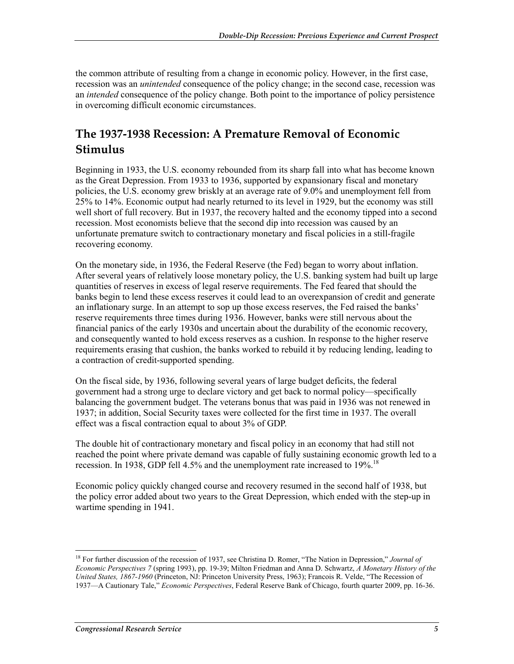the common attribute of resulting from a change in economic policy. However, in the first case, recession was an *unintended* consequence of the policy change; in the second case, recession was an *intended* consequence of the policy change. Both point to the importance of policy persistence in overcoming difficult economic circumstances.

#### **The 1937-1938 Recession: A Premature Removal of Economic Stimulus**

Beginning in 1933, the U.S. economy rebounded from its sharp fall into what has become known as the Great Depression. From 1933 to 1936, supported by expansionary fiscal and monetary policies, the U.S. economy grew briskly at an average rate of 9.0% and unemployment fell from 25% to 14%. Economic output had nearly returned to its level in 1929, but the economy was still well short of full recovery. But in 1937, the recovery halted and the economy tipped into a second recession. Most economists believe that the second dip into recession was caused by an unfortunate premature switch to contractionary monetary and fiscal policies in a still-fragile recovering economy.

On the monetary side, in 1936, the Federal Reserve (the Fed) began to worry about inflation. After several years of relatively loose monetary policy, the U.S. banking system had built up large quantities of reserves in excess of legal reserve requirements. The Fed feared that should the banks begin to lend these excess reserves it could lead to an overexpansion of credit and generate an inflationary surge. In an attempt to sop up those excess reserves, the Fed raised the banks' reserve requirements three times during 1936. However, banks were still nervous about the financial panics of the early 1930s and uncertain about the durability of the economic recovery, and consequently wanted to hold excess reserves as a cushion. In response to the higher reserve requirements erasing that cushion, the banks worked to rebuild it by reducing lending, leading to a contraction of credit-supported spending.

On the fiscal side, by 1936, following several years of large budget deficits, the federal government had a strong urge to declare victory and get back to normal policy—specifically balancing the government budget. The veterans bonus that was paid in 1936 was not renewed in 1937; in addition, Social Security taxes were collected for the first time in 1937. The overall effect was a fiscal contraction equal to about 3% of GDP.

The double hit of contractionary monetary and fiscal policy in an economy that had still not reached the point where private demand was capable of fully sustaining economic growth led to a recession. In 1938, GDP fell 4.5% and the unemployment rate increased to 19%.<sup>18</sup>

Economic policy quickly changed course and recovery resumed in the second half of 1938, but the policy error added about two years to the Great Depression, which ended with the step-up in wartime spending in 1941.

<sup>1</sup> 18 For further discussion of the recession of 1937, see Christina D. Romer, "The Nation in Depression," *Journal of Economic Perspectives 7* (spring 1993), pp. 19-39; Milton Friedman and Anna D. Schwartz, *A Monetary History of the United States, 1867-1960* (Princeton, NJ: Princeton University Press, 1963); Francois R. Velde, "The Recession of 1937—A Cautionary Tale," *Economic Perspectives*, Federal Reserve Bank of Chicago, fourth quarter 2009, pp. 16-36.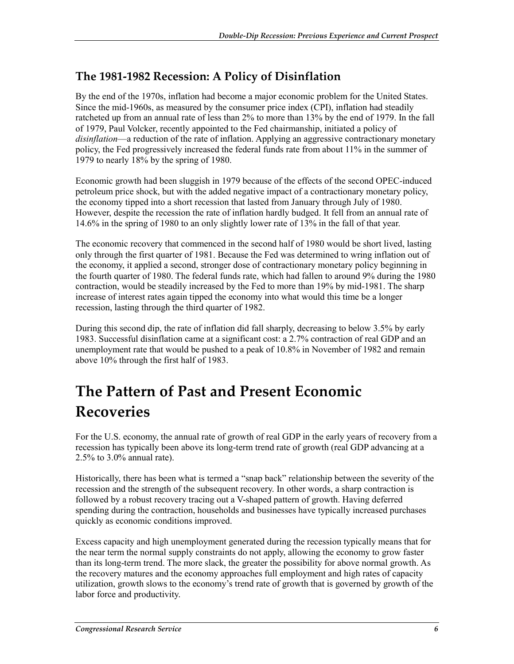#### **The 1981-1982 Recession: A Policy of Disinflation**

By the end of the 1970s, inflation had become a major economic problem for the United States. Since the mid-1960s, as measured by the consumer price index (CPI), inflation had steadily ratcheted up from an annual rate of less than 2% to more than 13% by the end of 1979. In the fall of 1979, Paul Volcker, recently appointed to the Fed chairmanship, initiated a policy of *disinflation*—a reduction of the rate of inflation. Applying an aggressive contractionary monetary policy, the Fed progressively increased the federal funds rate from about 11% in the summer of 1979 to nearly 18% by the spring of 1980.

Economic growth had been sluggish in 1979 because of the effects of the second OPEC-induced petroleum price shock, but with the added negative impact of a contractionary monetary policy, the economy tipped into a short recession that lasted from January through July of 1980. However, despite the recession the rate of inflation hardly budged. It fell from an annual rate of 14.6% in the spring of 1980 to an only slightly lower rate of 13% in the fall of that year.

The economic recovery that commenced in the second half of 1980 would be short lived, lasting only through the first quarter of 1981. Because the Fed was determined to wring inflation out of the economy, it applied a second, stronger dose of contractionary monetary policy beginning in the fourth quarter of 1980. The federal funds rate, which had fallen to around 9% during the 1980 contraction, would be steadily increased by the Fed to more than 19% by mid-1981. The sharp increase of interest rates again tipped the economy into what would this time be a longer recession, lasting through the third quarter of 1982.

During this second dip, the rate of inflation did fall sharply, decreasing to below 3.5% by early 1983. Successful disinflation came at a significant cost: a 2.7% contraction of real GDP and an unemployment rate that would be pushed to a peak of 10.8% in November of 1982 and remain above 10% through the first half of 1983.

# **The Pattern of Past and Present Economic Recoveries**

For the U.S. economy, the annual rate of growth of real GDP in the early years of recovery from a recession has typically been above its long-term trend rate of growth (real GDP advancing at a 2.5% to 3.0% annual rate).

Historically, there has been what is termed a "snap back" relationship between the severity of the recession and the strength of the subsequent recovery. In other words, a sharp contraction is followed by a robust recovery tracing out a V-shaped pattern of growth. Having deferred spending during the contraction, households and businesses have typically increased purchases quickly as economic conditions improved.

Excess capacity and high unemployment generated during the recession typically means that for the near term the normal supply constraints do not apply, allowing the economy to grow faster than its long-term trend. The more slack, the greater the possibility for above normal growth. As the recovery matures and the economy approaches full employment and high rates of capacity utilization, growth slows to the economy's trend rate of growth that is governed by growth of the labor force and productivity.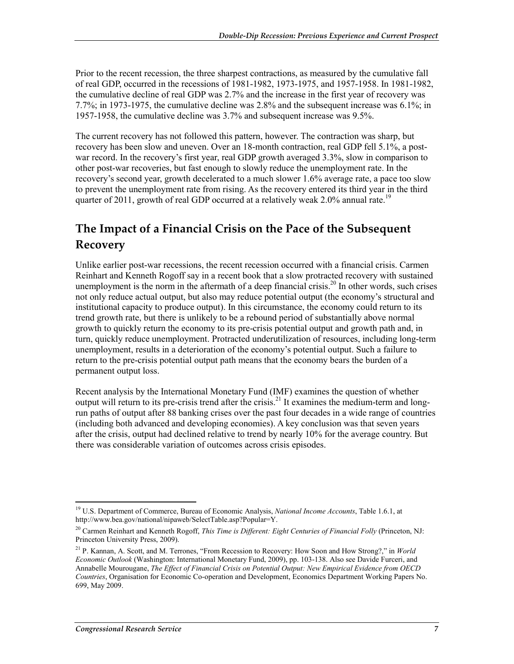Prior to the recent recession, the three sharpest contractions, as measured by the cumulative fall of real GDP, occurred in the recessions of 1981-1982, 1973-1975, and 1957-1958. In 1981-1982, the cumulative decline of real GDP was 2.7% and the increase in the first year of recovery was 7.7%; in 1973-1975, the cumulative decline was 2.8% and the subsequent increase was 6.1%; in 1957-1958, the cumulative decline was 3.7% and subsequent increase was 9.5%.

The current recovery has not followed this pattern, however. The contraction was sharp, but recovery has been slow and uneven. Over an 18-month contraction, real GDP fell 5.1%, a postwar record. In the recovery's first year, real GDP growth averaged 3.3%, slow in comparison to other post-war recoveries, but fast enough to slowly reduce the unemployment rate. In the recovery's second year, growth decelerated to a much slower 1.6% average rate, a pace too slow to prevent the unemployment rate from rising. As the recovery entered its third year in the third quarter of 2011, growth of real GDP occurred at a relatively weak 2.0% annual rate.<sup>19</sup>

#### **The Impact of a Financial Crisis on the Pace of the Subsequent Recovery**

Unlike earlier post-war recessions, the recent recession occurred with a financial crisis. Carmen Reinhart and Kenneth Rogoff say in a recent book that a slow protracted recovery with sustained unemployment is the norm in the aftermath of a deep financial crisis.<sup>20</sup> In other words, such crises not only reduce actual output, but also may reduce potential output (the economy's structural and institutional capacity to produce output). In this circumstance, the economy could return to its trend growth rate, but there is unlikely to be a rebound period of substantially above normal growth to quickly return the economy to its pre-crisis potential output and growth path and, in turn, quickly reduce unemployment. Protracted underutilization of resources, including long-term unemployment, results in a deterioration of the economy's potential output. Such a failure to return to the pre-crisis potential output path means that the economy bears the burden of a permanent output loss.

Recent analysis by the International Monetary Fund (IMF) examines the question of whether output will return to its pre-crisis trend after the crisis.<sup>21</sup> It examines the medium-term and longrun paths of output after 88 banking crises over the past four decades in a wide range of countries (including both advanced and developing economies). A key conclusion was that seven years after the crisis, output had declined relative to trend by nearly 10% for the average country. But there was considerable variation of outcomes across crisis episodes.

<sup>1</sup> 19 U.S. Department of Commerce, Bureau of Economic Analysis, *National Income Accounts*, Table 1.6.1, at http://www.bea.gov/national/nipaweb/SelectTable.asp?Popular=Y.

<sup>20</sup> Carmen Reinhart and Kenneth Rogoff, *This Time is Different: Eight Centuries of Financial Folly* (Princeton, NJ: Princeton University Press, 2009).

<sup>21</sup> P. Kannan, A. Scott, and M. Terrones, "From Recession to Recovery: How Soon and How Strong?," in *World Economic Outlook* (Washington: International Monetary Fund, 2009), pp. 103-138. Also see Davide Furceri, and Annabelle Mourougane, *The Effect of Financial Crisis on Potential Output: New Empirical Evidence from OECD Countries*, Organisation for Economic Co-operation and Development, Economics Department Working Papers No. 699, May 2009.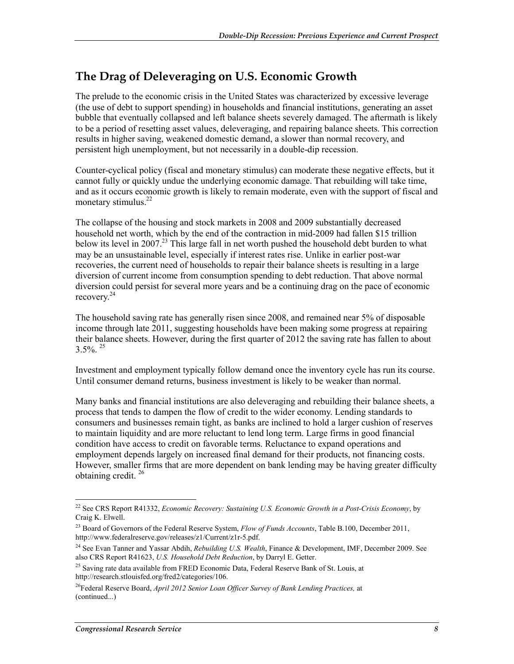#### **The Drag of Deleveraging on U.S. Economic Growth**

The prelude to the economic crisis in the United States was characterized by excessive leverage (the use of debt to support spending) in households and financial institutions, generating an asset bubble that eventually collapsed and left balance sheets severely damaged. The aftermath is likely to be a period of resetting asset values, deleveraging, and repairing balance sheets. This correction results in higher saving, weakened domestic demand, a slower than normal recovery, and persistent high unemployment, but not necessarily in a double-dip recession.

Counter-cyclical policy (fiscal and monetary stimulus) can moderate these negative effects, but it cannot fully or quickly undue the underlying economic damage. That rebuilding will take time, and as it occurs economic growth is likely to remain moderate, even with the support of fiscal and monetary stimulus. $^{22}$ 

The collapse of the housing and stock markets in 2008 and 2009 substantially decreased household net worth, which by the end of the contraction in mid-2009 had fallen \$15 trillion below its level in 2007.<sup>23</sup> This large fall in net worth pushed the household debt burden to what may be an unsustainable level, especially if interest rates rise. Unlike in earlier post-war recoveries, the current need of households to repair their balance sheets is resulting in a large diversion of current income from consumption spending to debt reduction. That above normal diversion could persist for several more years and be a continuing drag on the pace of economic recovery.<sup>24</sup>

The household saving rate has generally risen since 2008, and remained near 5% of disposable income through late 2011, suggesting households have been making some progress at repairing their balance sheets. However, during the first quarter of 2012 the saving rate has fallen to about  $3.5\%$ <sup>25</sup>

Investment and employment typically follow demand once the inventory cycle has run its course. Until consumer demand returns, business investment is likely to be weaker than normal.

Many banks and financial institutions are also deleveraging and rebuilding their balance sheets, a process that tends to dampen the flow of credit to the wider economy. Lending standards to consumers and businesses remain tight, as banks are inclined to hold a larger cushion of reserves to maintain liquidity and are more reluctant to lend long term. Large firms in good financial condition have access to credit on favorable terms. Reluctance to expand operations and employment depends largely on increased final demand for their products, not financing costs. However, smaller firms that are more dependent on bank lending may be having greater difficulty obtaining credit. 26

<sup>22</sup> See CRS Report R41332, *Economic Recovery: Sustaining U.S. Economic Growth in a Post-Crisis Economy*, by Craig K. Elwell.

<sup>23</sup> Board of Governors of the Federal Reserve System, *Flow of Funds Accounts*, Table B.100, December 2011, http://www.federalreserve.gov/releases/z1/Current/z1r-5.pdf.

<sup>24</sup> See Evan Tanner and Yassar Abdih, *Rebuilding U.S. Wealth*, Finance & Development, IMF, December 2009. See also CRS Report R41623, *U.S. Household Debt Reduction*, by Darryl E. Getter.

<sup>&</sup>lt;sup>25</sup> Saving rate data available from FRED Economic Data, Federal Reserve Bank of St. Louis, at http://research.stlouisfed.org/fred2/categories/106.

<sup>26</sup>Federal Reserve Board, *April 2012 Senior Loan Officer Survey of Bank Lending Practices,* at (continued...)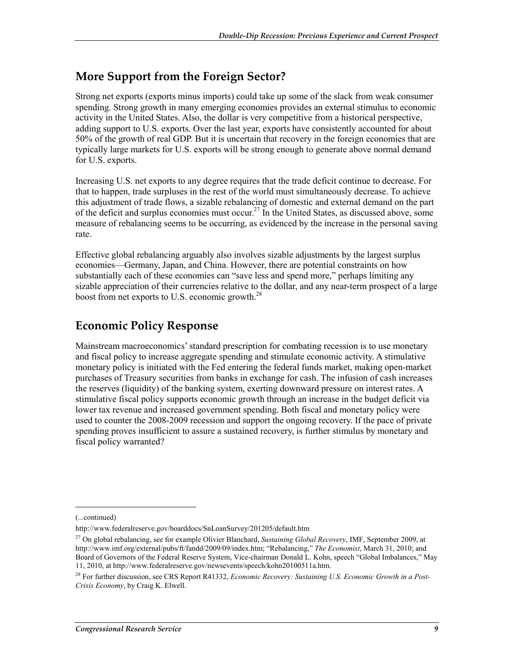#### **More Support from the Foreign Sector?**

Strong net exports (exports minus imports) could take up some of the slack from weak consumer spending. Strong growth in many emerging economies provides an external stimulus to economic activity in the United States. Also, the dollar is very competitive from a historical perspective, adding support to U.S. exports. Over the last year, exports have consistently accounted for about 50% of the growth of real GDP. But it is uncertain that recovery in the foreign economies that are typically large markets for U.S. exports will be strong enough to generate above normal demand for U.S. exports.

Increasing U.S. net exports to any degree requires that the trade deficit continue to decrease. For that to happen, trade surpluses in the rest of the world must simultaneously decrease. To achieve this adjustment of trade flows, a sizable rebalancing of domestic and external demand on the part of the deficit and surplus economies must occur.<sup>27</sup> In the United States, as discussed above, some measure of rebalancing seems to be occurring, as evidenced by the increase in the personal saving rate.

Effective global rebalancing arguably also involves sizable adjustments by the largest surplus economies—Germany, Japan, and China. However, there are potential constraints on how substantially each of these economies can "save less and spend more," perhaps limiting any sizable appreciation of their currencies relative to the dollar, and any near-term prospect of a large boost from net exports to U.S. economic growth.<sup>28</sup>

#### **Economic Policy Response**

Mainstream macroeconomics' standard prescription for combating recession is to use monetary and fiscal policy to increase aggregate spending and stimulate economic activity. A stimulative monetary policy is initiated with the Fed entering the federal funds market, making open-market purchases of Treasury securities from banks in exchange for cash. The infusion of cash increases the reserves (liquidity) of the banking system, exerting downward pressure on interest rates. A stimulative fiscal policy supports economic growth through an increase in the budget deficit via lower tax revenue and increased government spending. Both fiscal and monetary policy were used to counter the 2008-2009 recession and support the ongoing recovery. If the pace of private spending proves insufficient to assure a sustained recovery, is further stimulus by monetary and fiscal policy warranted?

<sup>(...</sup>continued)

http://www.federalreserve.gov/boarddocs/SnLoanSurvey/201205/default.htm

<sup>27</sup> On global rebalancing, see for example Olivier Blanchard, *Sustaining Global Recovery*, IMF, September 2009, at http://www.imf.org/external/pubs/ft/fandd/2009/09/index.htm; "Rebalancing," *The Economist*, March 31, 2010; and Board of Governors of the Federal Reserve System, Vice-chairman Donald L. Kohn, speech "Global Imbalances," May 11, 2010, at http://www.federalreserve.gov/newsevents/speech/kohn20100511a.htm.

<sup>28</sup> For further discussion, see CRS Report R41332, *Economic Recovery: Sustaining U.S. Economic Growth in a Post-Crisis Economy*, by Craig K. Elwell.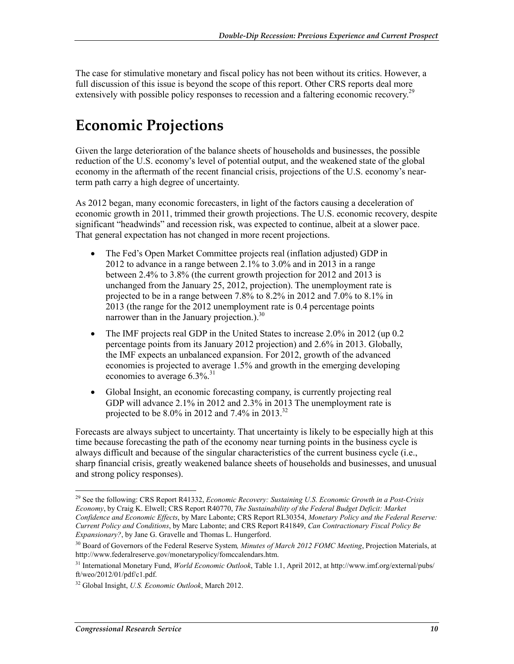The case for stimulative monetary and fiscal policy has not been without its critics. However, a full discussion of this issue is beyond the scope of this report. Other CRS reports deal more extensively with possible policy responses to recession and a faltering economic recovery.<sup>29</sup>

### **Economic Projections**

Given the large deterioration of the balance sheets of households and businesses, the possible reduction of the U.S. economy's level of potential output, and the weakened state of the global economy in the aftermath of the recent financial crisis, projections of the U.S. economy's nearterm path carry a high degree of uncertainty.

As 2012 began, many economic forecasters, in light of the factors causing a deceleration of economic growth in 2011, trimmed their growth projections. The U.S. economic recovery, despite significant "headwinds" and recession risk, was expected to continue, albeit at a slower pace. That general expectation has not changed in more recent projections.

- The Fed's Open Market Committee projects real (inflation adjusted) GDP in 2012 to advance in a range between 2.1% to 3.0% and in 2013 in a range between 2.4% to 3.8% (the current growth projection for 2012 and 2013 is unchanged from the January 25, 2012, projection). The unemployment rate is projected to be in a range between 7.8% to 8.2% in 2012 and 7.0% to 8.1% in 2013 (the range for the 2012 unemployment rate is 0.4 percentage points narrower than in the January projection.). $30$
- The IMF projects real GDP in the United States to increase 2.0% in 2012 (up 0.2) percentage points from its January 2012 projection) and 2.6% in 2013. Globally, the IMF expects an unbalanced expansion. For 2012, growth of the advanced economies is projected to average 1.5% and growth in the emerging developing economies to average 6.3%.<sup>31</sup>
- Global Insight, an economic forecasting company, is currently projecting real GDP will advance 2.1% in 2012 and 2.3% in 2013 The unemployment rate is projected to be  $8.0\%$  in 2012 and 7.4% in 2013.<sup>32</sup>

Forecasts are always subject to uncertainty. That uncertainty is likely to be especially high at this time because forecasting the path of the economy near turning points in the business cycle is always difficult and because of the singular characteristics of the current business cycle (i.e., sharp financial crisis, greatly weakened balance sheets of households and businesses, and unusual and strong policy responses).

<sup>29</sup> See the following: CRS Report R41332, *Economic Recovery: Sustaining U.S. Economic Growth in a Post-Crisis Economy*, by Craig K. Elwell; CRS Report R40770, *The Sustainability of the Federal Budget Deficit: Market Confidence and Economic Effects*, by Marc Labonte; CRS Report RL30354, *Monetary Policy and the Federal Reserve: Current Policy and Conditions*, by Marc Labonte; and CRS Report R41849, *Can Contractionary Fiscal Policy Be Expansionary?*, by Jane G. Gravelle and Thomas L. Hungerford.

<sup>30</sup> Board of Governors of the Federal Reserve System*, Minutes of March 2012 FOMC Meeting*, Projection Materials, at http://www.federalreserve.gov/monetarypolicy/fomccalendars.htm.

<sup>31</sup> International Monetary Fund, *World Economic Outlook*, Table 1.1, April 2012, at http://www.imf.org/external/pubs/ ft/weo/2012/01/pdf/c1.pdf.

<sup>32</sup> Global Insight, *U.S. Economic Outlook*, March 2012.